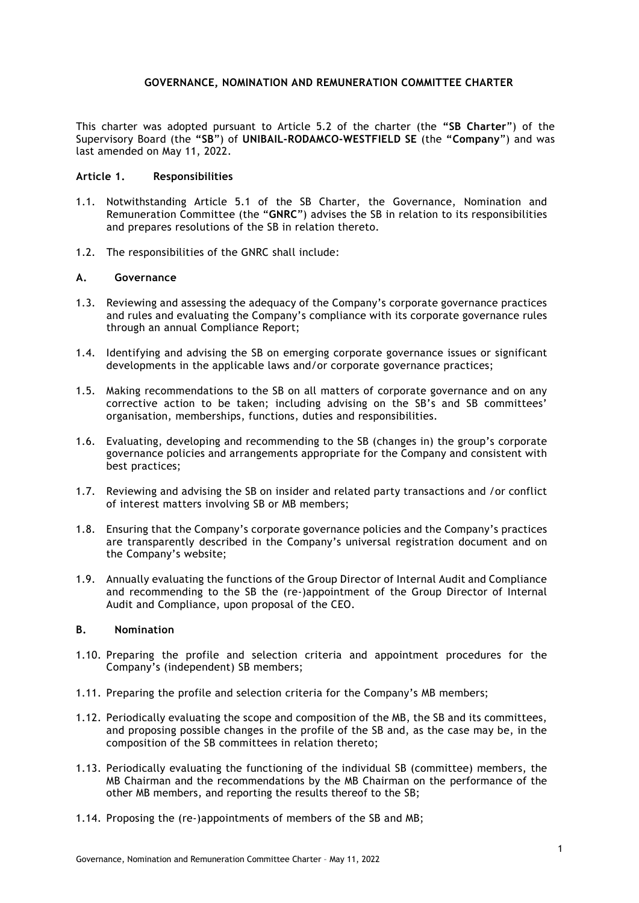## **GOVERNANCE, NOMINATION AND REMUNERATION COMMITTEE CHARTER**

This charter was adopted pursuant to Article 5.2 of the charter (the **"SB Charter**") of the Supervisory Board (the **"SB**") of **UNIBAIL-RODAMCO-WESTFIELD SE** (the **"Company**") and was last amended on May 11, 2022.

#### **Article 1. Responsibilities**

- 1.1. Notwithstanding Article 5.1 of the SB Charter, the Governance, Nomination and Remuneration Committee (the "**GNRC**") advises the SB in relation to its responsibilities and prepares resolutions of the SB in relation thereto.
- 1.2. The responsibilities of the GNRC shall include:

### **A. Governance**

- 1.3. Reviewing and assessing the adequacy of the Company's corporate governance practices and rules and evaluating the Company's compliance with its corporate governance rules through an annual Compliance Report;
- 1.4. Identifying and advising the SB on emerging corporate governance issues or significant developments in the applicable laws and/or corporate governance practices;
- 1.5. Making recommendations to the SB on all matters of corporate governance and on any corrective action to be taken; including advising on the SB's and SB committees' organisation, memberships, functions, duties and responsibilities.
- 1.6. Evaluating, developing and recommending to the SB (changes in) the group's corporate governance policies and arrangements appropriate for the Company and consistent with best practices;
- 1.7. Reviewing and advising the SB on insider and related party transactions and /or conflict of interest matters involving SB or MB members;
- 1.8. Ensuring that the Company's corporate governance policies and the Company's practices are transparently described in the Company's universal registration document and on the Company's website;
- 1.9. Annually evaluating the functions of the Group Director of Internal Audit and Compliance and recommending to the SB the (re-)appointment of the Group Director of Internal Audit and Compliance, upon proposal of the CEO.

# **B. Nomination**

- 1.10. Preparing the profile and selection criteria and appointment procedures for the Company's (independent) SB members;
- 1.11. Preparing the profile and selection criteria for the Company's MB members;
- 1.12. Periodically evaluating the scope and composition of the MB, the SB and its committees, and proposing possible changes in the profile of the SB and, as the case may be, in the composition of the SB committees in relation thereto;
- 1.13. Periodically evaluating the functioning of the individual SB (committee) members, the MB Chairman and the recommendations by the MB Chairman on the performance of the other MB members, and reporting the results thereof to the SB;
- 1.14. Proposing the (re-)appointments of members of the SB and MB;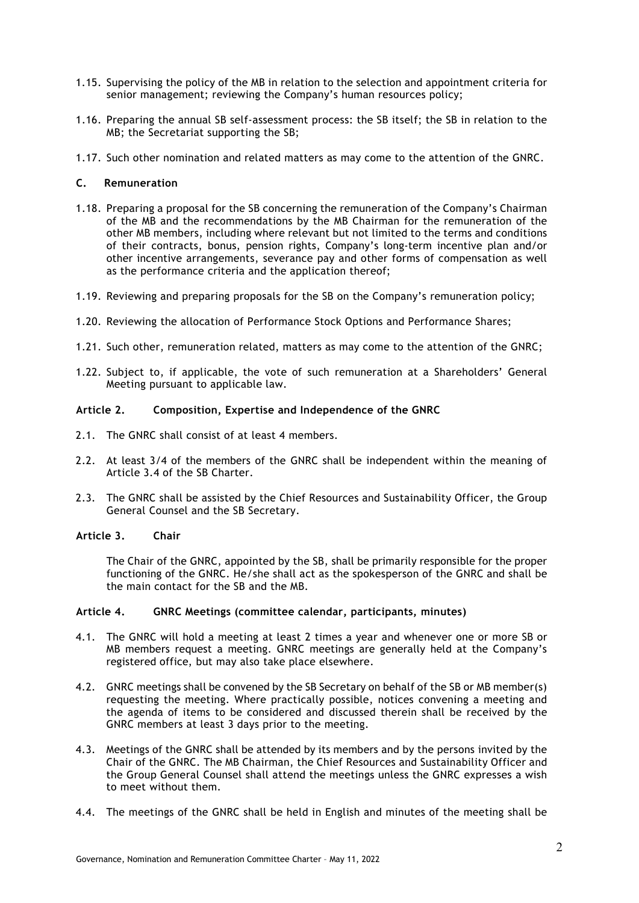- 1.15. Supervising the policy of the MB in relation to the selection and appointment criteria for senior management; reviewing the Company's human resources policy;
- 1.16. Preparing the annual SB self-assessment process: the SB itself; the SB in relation to the MB; the Secretariat supporting the SB;
- 1.17. Such other nomination and related matters as may come to the attention of the GNRC.

# **C. Remuneration**

- 1.18. Preparing a proposal for the SB concerning the remuneration of the Company's Chairman of the MB and the recommendations by the MB Chairman for the remuneration of the other MB members, including where relevant but not limited to the terms and conditions of their contracts, bonus, pension rights, Company's long-term incentive plan and/or other incentive arrangements, severance pay and other forms of compensation as well as the performance criteria and the application thereof;
- 1.19. Reviewing and preparing proposals for the SB on the Company's remuneration policy;
- 1.20. Reviewing the allocation of Performance Stock Options and Performance Shares;
- 1.21. Such other, remuneration related, matters as may come to the attention of the GNRC;
- 1.22. Subject to, if applicable, the vote of such remuneration at a Shareholders' General Meeting pursuant to applicable law.

## **Article 2. Composition, Expertise and Independence of the GNRC**

- 2.1. The GNRC shall consist of at least 4 members.
- 2.2. At least 3/4 of the members of the GNRC shall be independent within the meaning of Article 3.4 of the SB Charter.
- 2.3. The GNRC shall be assisted by the Chief Resources and Sustainability Officer, the Group General Counsel and the SB Secretary.

## **Article 3. Chair**

The Chair of the GNRC, appointed by the SB, shall be primarily responsible for the proper functioning of the GNRC. He/she shall act as the spokesperson of the GNRC and shall be the main contact for the SB and the MB.

#### **Article 4. GNRC Meetings (committee calendar, participants, minutes)**

- 4.1. The GNRC will hold a meeting at least 2 times a year and whenever one or more SB or MB members request a meeting. GNRC meetings are generally held at the Company's registered office, but may also take place elsewhere.
- 4.2. GNRC meetings shall be convened by the SB Secretary on behalf of the SB or MB member(s) requesting the meeting. Where practically possible, notices convening a meeting and the agenda of items to be considered and discussed therein shall be received by the GNRC members at least 3 days prior to the meeting.
- 4.3. Meetings of the GNRC shall be attended by its members and by the persons invited by the Chair of the GNRC. The MB Chairman, the Chief Resources and Sustainability Officer and the Group General Counsel shall attend the meetings unless the GNRC expresses a wish to meet without them.
- 4.4. The meetings of the GNRC shall be held in English and minutes of the meeting shall be